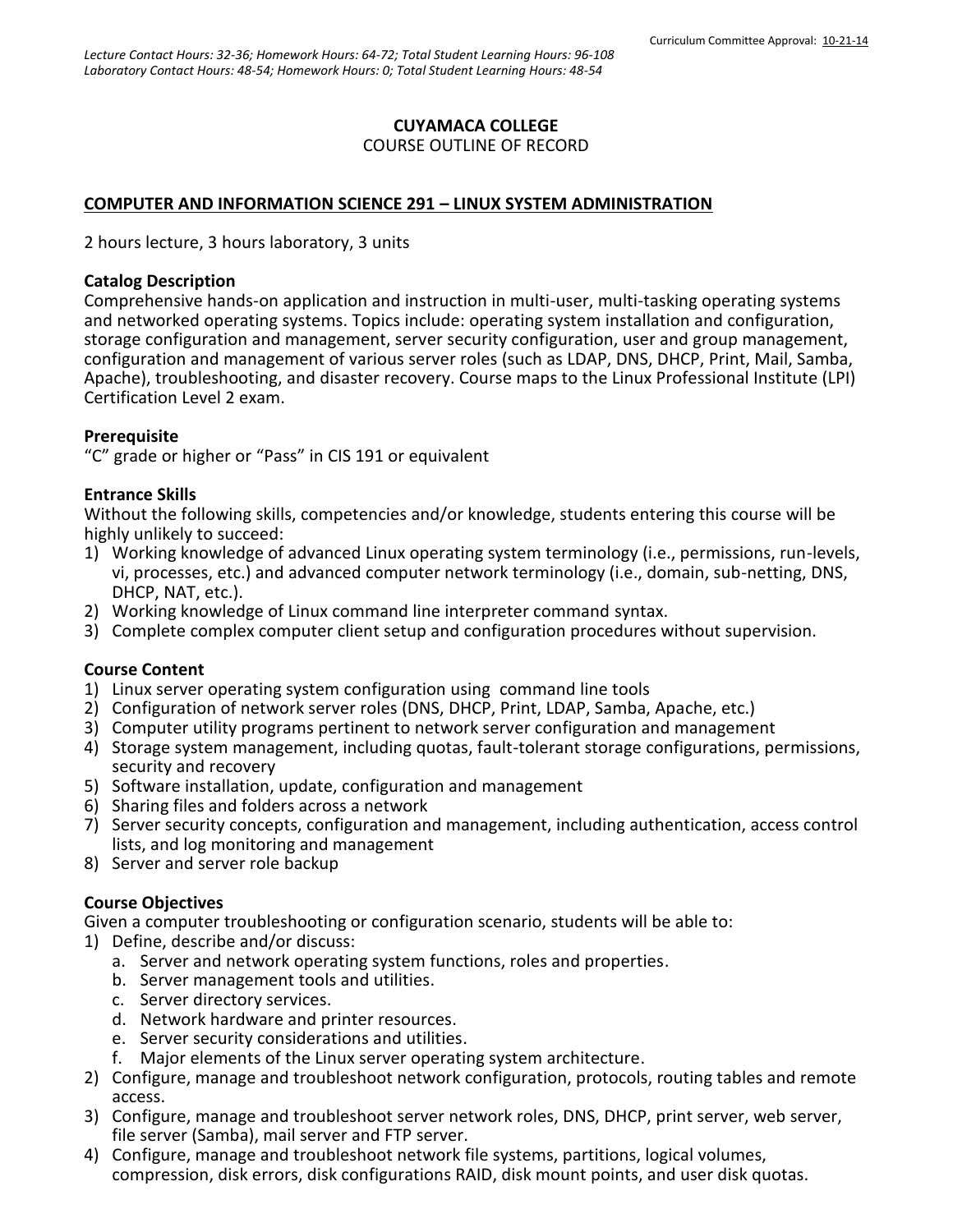# **CUYAMACA COLLEGE**

#### COURSE OUTLINE OF RECORD

# **COMPUTER AND INFORMATION SCIENCE 291 – LINUX SYSTEM ADMINISTRATION**

2 hours lecture, 3 hours laboratory, 3 units

#### **Catalog Description**

Comprehensive hands-on application and instruction in multi-user, multi-tasking operating systems and networked operating systems. Topics include: operating system installation and configuration, storage configuration and management, server security configuration, user and group management, configuration and management of various server roles (such as LDAP, DNS, DHCP, Print, Mail, Samba, Apache), troubleshooting, and disaster recovery. Course maps to the Linux Professional Institute (LPI) Certification Level 2 exam.

## **Prerequisite**

"C" grade or higher or "Pass" in CIS 191 or equivalent

#### **Entrance Skills**

Without the following skills, competencies and/or knowledge, students entering this course will be highly unlikely to succeed:

- 1) Working knowledge of advanced Linux operating system terminology (i.e., permissions, run-levels, vi, processes, etc.) and advanced computer network terminology (i.e., domain, sub-netting, DNS, DHCP, NAT, etc.).
- 2) Working knowledge of Linux command line interpreter command syntax.
- 3) Complete complex computer client setup and configuration procedures without supervision.

## **Course Content**

- 1) Linux server operating system configuration using command line tools
- 2) Configuration of network server roles (DNS, DHCP, Print, LDAP, Samba, Apache, etc.)
- 3) Computer utility programs pertinent to network server configuration and management
- 4) Storage system management, including quotas, fault-tolerant storage configurations, permissions, security and recovery
- 5) Software installation, update, configuration and management
- 6) Sharing files and folders across a network
- 7) Server security concepts, configuration and management, including authentication, access control lists, and log monitoring and management
- 8) Server and server role backup

## **Course Objectives**

Given a computer troubleshooting or configuration scenario, students will be able to:

- 1) Define, describe and/or discuss:
	- a. Server and network operating system functions, roles and properties.
	- b. Server management tools and utilities.
	- c. Server directory services.
	- d. Network hardware and printer resources.
	- e. Server security considerations and utilities.
	- f. Major elements of the Linux server operating system architecture.
- 2) Configure, manage and troubleshoot network configuration, protocols, routing tables and remote access.
- 3) Configure, manage and troubleshoot server network roles, DNS, DHCP, print server, web server, file server (Samba), mail server and FTP server.
- 4) Configure, manage and troubleshoot network file systems, partitions, logical volumes, compression, disk errors, disk configurations RAID, disk mount points, and user disk quotas.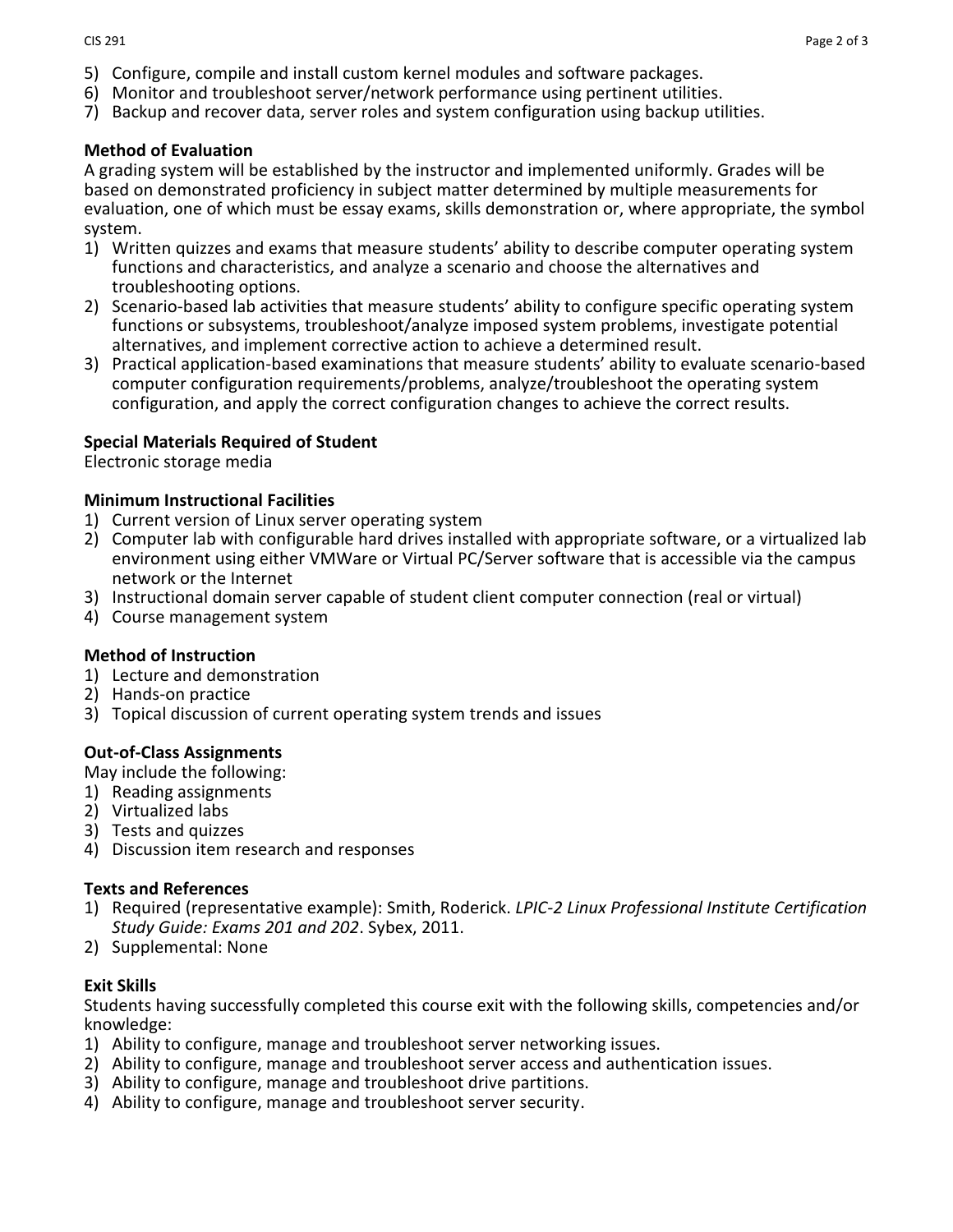- 5) Configure, compile and install custom kernel modules and software packages.
- 6) Monitor and troubleshoot server/network performance using pertinent utilities.
- 7) Backup and recover data, server roles and system configuration using backup utilities.

#### **Method of Evaluation**

A grading system will be established by the instructor and implemented uniformly. Grades will be based on demonstrated proficiency in subject matter determined by multiple measurements for evaluation, one of which must be essay exams, skills demonstration or, where appropriate, the symbol system.

- 1) Written quizzes and exams that measure students' ability to describe computer operating system functions and characteristics, and analyze a scenario and choose the alternatives and troubleshooting options.
- 2) Scenario-based lab activities that measure students' ability to configure specific operating system functions or subsystems, troubleshoot/analyze imposed system problems, investigate potential alternatives, and implement corrective action to achieve a determined result.
- 3) Practical application-based examinations that measure students' ability to evaluate scenario-based computer configuration requirements/problems, analyze/troubleshoot the operating system configuration, and apply the correct configuration changes to achieve the correct results.

#### **Special Materials Required of Student**

Electronic storage media

# **Minimum Instructional Facilities**

- 1) Current version of Linux server operating system
- 2) Computer lab with configurable hard drives installed with appropriate software, or a virtualized lab environment using either VMWare or Virtual PC/Server software that is accessible via the campus network or the Internet
- 3) Instructional domain server capable of student client computer connection (real or virtual)
- 4) Course management system

#### **Method of Instruction**

- 1) Lecture and demonstration
- 2) Hands-on practice
- 3) Topical discussion of current operating system trends and issues

#### **Out-of-Class Assignments**

May include the following:

- 1) Reading assignments
- 2) Virtualized labs
- 3) Tests and quizzes
- 4) Discussion item research and responses

#### **Texts and References**

- 1) Required (representative example): Smith, Roderick. *LPIC-2 Linux Professional Institute Certification Study Guide: Exams 201 and 202*. Sybex, 2011.
- 2) Supplemental: None

#### **Exit Skills**

Students having successfully completed this course exit with the following skills, competencies and/or knowledge:

- 1) Ability to configure, manage and troubleshoot server networking issues.
- 2) Ability to configure, manage and troubleshoot server access and authentication issues.
- 3) Ability to configure, manage and troubleshoot drive partitions.
- 4) Ability to configure, manage and troubleshoot server security.